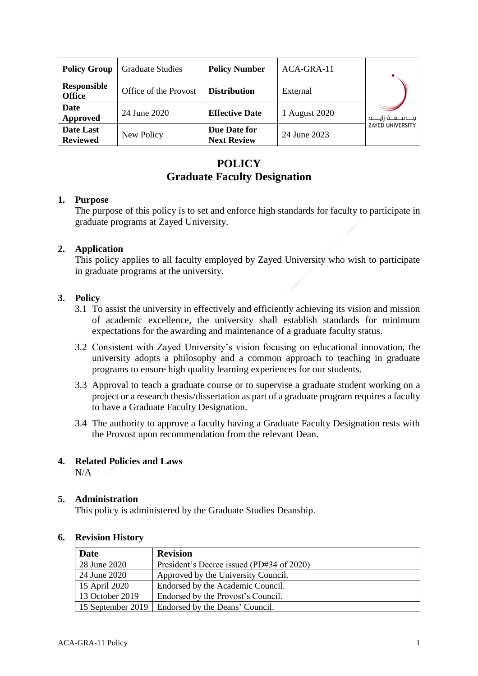| <b>Policy Group</b>                 | <b>Graduate Studies</b> | <b>Policy Number</b>               | $ACA-GRA-11$  |                         |
|-------------------------------------|-------------------------|------------------------------------|---------------|-------------------------|
| <b>Responsible</b><br><b>Office</b> | Office of the Provost   | <b>Distribution</b>                | External      |                         |
| Date<br>Approved                    | 24 June 2020            | <b>Effective Date</b>              | 1 August 2020 | جــــامـــعــــة زايـــ |
| Date Last<br><b>Reviewed</b>        | New Policy              | Due Date for<br><b>Next Review</b> | 24 June 2023  | <b>ZAYED UNIVERSITY</b> |

# **POLICY Graduate Faculty Designation**

# **1. Purpose**

The purpose of this policy is to set and enforce high standards for faculty to participate in graduate programs at Zayed University.

# **2. Application**

This policy applies to all faculty employed by Zayed University who wish to participate in graduate programs at the university.

### **3. Policy**

- 3.1 To assist the university in effectively and efficiently achieving its vision and mission of academic excellence, the university shall establish standards for minimum expectations for the awarding and maintenance of a graduate faculty status.
- 3.2 Consistent with Zayed University's vision focusing on educational innovation, the university adopts a philosophy and a common approach to teaching in graduate programs to ensure high quality learning experiences for our students.
- 3.3 Approval to teach a graduate course or to supervise a graduate student working on a project or a research thesis/dissertation as part of a graduate program requires a faculty to have a Graduate Faculty Designation.
- 3.4 The authority to approve a faculty having a Graduate Faculty Designation rests with the Provost upon recommendation from the relevant Dean.

### **4. Related Policies and Laws**

 $N/A$ 

### **5. Administration**

This policy is administered by the Graduate Studies Deanship.

| Date              | <b>Revision</b>                           |
|-------------------|-------------------------------------------|
| 28 June 2020      | President's Decree issued (PD#34 of 2020) |
| 24 June 2020      | Approved by the University Council.       |
| 15 April 2020     | Endorsed by the Academic Council.         |
| 13 October 2019   | Endorsed by the Provost's Council.        |
| 15 September 2019 | Endorsed by the Deans' Council.           |

### **6. Revision History**